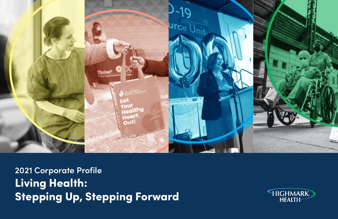

**2021 Corporate Profile** Living Health: Stepping Up, Stepping Forward

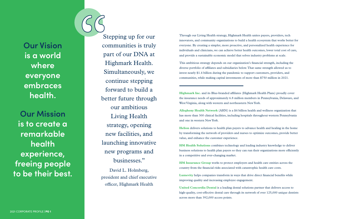**Our Vision is a world where everyone embraces health.**

**Our Mission is to create a remarkable health experience, freeing people to be their best.** Through our Living Health strategy, Highmark Health unites payers, providers, tech innovators, and community organizations to build a health ecosystem that works better for everyone. By creating a simpler, more proactive, and personalized health experience for individuals and clinicians, we can achieve better health outcomes, lower total cost of care, and provide a sustainable economic model that solves industry problems at scale.

This ambitious strategy depends on our organization's financial strength, including the diverse portfolio of affiliates and subsidiaries below. That same strength allowed us to invest nearly \$1.4 billion during the pandemic to support customers, providers, and communities, while making capital investments of more than \$750 million in 2021.

**HM Insurance Group** works to protect employers and health care entities across the country from the financial risks associated with catastrophic health care costs.

**Highmark Inc.** and its Blue-branded affiliates (Highmark Health Plans) proudly cover the insurance needs of approximately 6.8 million members in Pennsylvania, Delaware, and West Virginia, along with western and northeastern New York.

**Allegheny Health Network** (AHN) is a \$4 billion health and wellness organization that has more than 300 clinical facilities, including hospitals throughout western Pennsylvania and one in western New York.

**Helion** delivers solutions to health plan payers to advance health and healing in the home by transforming the network of providers and nurses to optimize outcomes, provide better value, and enhance the customer experience.

**HM Health Solutions** combines technology and leading industry knowledge to deliver business solutions to health plan payers so they can run their organizations more efficiently in a competitive and ever-changing market.

**Lumevity** helps companies transform in ways that drive direct financial benefits while improving quality and increasing employee engagement.

**United Concordia Dental** is a leading dental solutions partner that delivers access to high-quality, cost-effective dental care through its network of over 125,000 unique dentists across more than 392,000 access points.

Stepping up for our communities is truly part of our DNA at Highmark Health. Simultaneously, we continue stepping forward to build a better future through our ambitious Living Health strategy, opening new facilities, and launching innovative new programs and businesses."

David L. Holmberg, president and chief executive officer, Highmark Health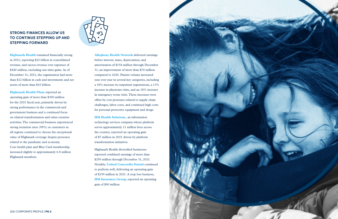**Highmark Health** remained financially strong in 2021, reporting \$22 billion in consolidated revenue, and excess revenue over expenses of \$440 million, excluding one-time gains. As of December 31, 2021, the organization had more than \$12 billion in cash and investments and net assets of more than \$10 billion.

**Highmark Health Plans reported an** operating gain of more than \$300 million for the 2021 fiscal year, primarily driven by strong performance in the commercial and government business and a continued focus on clinical transformation and value-creation activities. The commercial business experienced strong retention rates (98%) as customers in all regions continued to choose the exceptional value of Highmark coverage despite pressures related to the pandemic and economy. Core health plan and Blue Card membership increased slightly to approximately 6.8 million Highmark members.



**Allegheny Health Network** delivered earnings before interest, taxes, depreciation, and amortization of \$154 million through December 31, an improvement of more than \$70 million compared to 2020. Patient volume increased year over year in several key categories, including a 36% increase in outpatient registrations, a 13% increase in physician visits, and an 18% increase in emergency room visits. These increases were offset by cost pressures related to supply chain challenges, labor costs, and continued high costs for personal protective equipment and drugs.

**HM Health Solutions,** an information technology services company whose platform serves approximately 11 million lives across the country, reported an operating gain of \$7 million in 2021 driven by platform transformation initiatives.

Highmark Health diversified businesses reported combined earnings of more than \$250 million through December 31, 2021. Notably, **United Concordia Dental** continued to perform well, delivering an operating gain of \$159 million in 2021. A stop loss business, **HM Insurance Group**, reported an operating gain of \$90 million.



# **STRONG FINANCES ALLOW US TO CONTINUE STEPPING UP AND STEPPING FORWARD**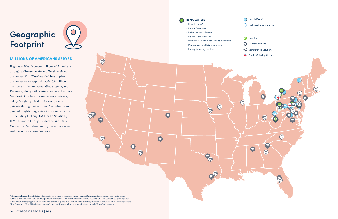# **MILLIONS OF AMERICANS SERVED**

Highmark Health serves millions of Americans through a diverse portfolio of health-related businesses. Our Blue-branded health plan businesses serve approximately 6.8 million members in Pennsylvania, West Virginia, and Delaware, along with western and northeastern New York. Our health care delivery network, led by Allegheny Health Network, serves patients throughout western Pennsylvania and parts of neighboring states. Other subsidiaries — including Helion, HM Health Solutions, HM Insurance Group, Lumevity, and United Concordia Dental — proudly serve customers and businesses across America.

- Health Plans\*
- Highmark Direct Stores
- **H** Hospitals
- **Dental Solutions**
- Reinsurance Solutions
- **Family Grieving Centers**



\*Highmark Inc. and its affiliates offer health insurance products in Pennsylvania, Delaware, West Virginia, and western and northeastern New York, and are independent licensees of the Blue Cross Blue Shield Association. The companies' participation in the BlueCard® program offers members access to plans that include benefits through provider networks of other independent Blue Cross and Blue Shield plans nationally and worldwide. Most, but not all, plans include Blue Card benefits.

# **Geographic Footprint**



 $\bigodot$ 

 $\odot$ 

 $\bullet$ 

 $\bigcirc$ 

 $\overline{\mathbf{O}}$ 

 $\bullet$ 

 $\bigcirc$ 

**HEADQUARTERS**

- Health Plans\*
- Dental Solutions
- Reinsurance Solutions
- Health Care Delivery
- Innovative Technology-Based Solutions

 $\bigcirc$ 

 $\bigcirc$ 

B

 $\nabla^{\!\!\mathcal{O}}$ 

 $\bullet$ 

 $\Omega$ 

- Population Health Management
- Family Grieving Centers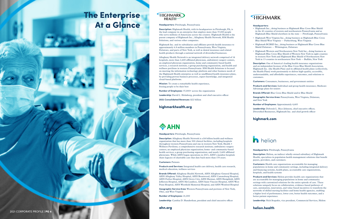#### **Headquarters:**

- Highmark Inc., doing business as Highmark Blue Cross Blue Shield in the 42 counties of western and northeastern Pennsylvania and as Highmark Blue Shield elsewhere in the state — Pittsburgh, Pennsylvania
- Highmark West Virginia Inc., doing business as Highmark Blue Cross Blue Shield West Virginia — Parkersburg, West Virginia
- Highmark BCBSD Inc., doing business as Highmark Blue Cross Blue Shield Delaware — Wilmington, Delaware
- Highmark Western and Northeastern New York Inc., doing business as Highmark Blue Cross Blue Shield of Western New York in eight counties in western New York and Highmark Blue Shield of Northeastern New York in 13 counties in northeastern New York — Buffalo, New York

**Description:** One of America's leading health insurance organizations and an independent licensee of the Blue Cross Blue Shield Association, Highmark Inc. (the Health Plan) and its affiliated health plans (collectively, the Health Plans) work passionately to deliver high-quality, accessible, understandable, and affordable experiences, outcomes, and solutions to customers.

**Customers:** Consumers, businesses, and government entities

**Products and Services:** Individual and group health insurance; Medicare Advantage plans for seniors

**Brands Offered:** Blue Cross Blue Shield and/or Blue Shield

**Geographic Service Area:** Pennsylvania, West Virginia, Delaware, and New York

**Number of Employees:** Approximately 4,683

**Leadership:** Deborah L. Rice-Johnson, chief executive officer, Diversified Businesses, Highmark Inc. and chief growth officer

## highmark.com



### **Headquarters:** Pittsburgh, Pennsylvania

**Description:** Allegheny Health Network is a \$4 billion health and wellness organization that has more than 300 clinical facilities, including hospitals throughout western Pennsylvania and one in western New York; Health + Wellness Pavilions; a comprehensive research institute; ambulatory surgery centers; an employed physician organization; home- and community-based health services; a group purchasing organization; and nearly 2,600 affiliated physicians. While AHN began operations in 2013, AHN's member hospitals share legacies of charitable care that date back more than 170 years.

### **Customers:** Patients

**Products and Services:** Integrated health care delivery, health care research, medical education, wellness services

**Brands Offered:** Allegheny Health Network, AHN Allegheny General Hospital, AHN Allegheny Valley Hospital, AHN Brentwood, AHN Canonsburg Hospital, AHN Forbes Hospital, AHN Grove City, AHN Harmar, AHN Hempfield, AHN Jefferson Hospital, AHN McCandless, AHN Saint Vincent Hospital, AHN West Penn Hospital, AHN Westfield Memorial Hospital, and AHN Wexford Hospital

**Geographic Service Area:** Western Pennsylvania and portions of New York, Ohio, and West Virginia

**Number of Employees:** 21,000

Leadership: Cynthia D. Hundorfean, president and chief executive officer

ahn.org

#### **Headquarters:** Pittsburgh, Pennsylvania

**Description:** Helion, an indirect wholly-owned subsidiary of Highmark Health, specializes in population health management solutions that benefit payers, providers, and customers.

**Customers:** Health care organizations accountable for managing populations in home and community settings, including integrated delivery and financing systems, health plans, accountable care organizations, hospitals, and health systems

**Products and Services:** Helion provides health care organizations that are accountable for managing populations in home and community settings with customized solutions for the entire episode of care. These solutions uniquely focus on collaboration, evidence-based pathways of care, automation, innovation, and value-based incentives to transform the networks of skilled nursing facilities and home health agencies, enabling a higher level of performance, lower cost, better health outcomes, and a better patient experience.

**Leadership:** Nick Stupakis, vice president, Commercial Services, Helion

## helion.health

#### **Headquarters:** Pittsburgh, Pennsylvania

**Description:** Highmark Health, with its headquarters in Pittsburgh, PA, is the lead company in an enterprise that employs more than 37,000 people who serve millions of Americans across the country. Highmark Health is the parent company of Highmark Inc., Allegheny Health Network, HM Health Solutions, and various other companies.

Highmark Inc. and its subsidiaries and affiliates provide health insurance to approximately 6.8 million members in Pennsylvania, West Virginia, Delaware, and parts of New York, as well as dental insurance and related health products through a national network of diversified businesses.

Allegheny Health Network is an integrated delivery network comprised of 14 hospitals, more than 2,600 affiliated physicians, ambulatory surgery centers, an employed physician organization, home and community-based health services, a research institute, a group purchasing organization, and health and wellness pavilions in western Pennsylvania. HM Health Solutions is focused on meeting the information technology platform and other business needs of the Highmark Health enterprise as well as unaffiliated health insurance plans, by providing proven business processes, expert knowledge, and integrated cloud-based platforms.

**Mission:** To create a remarkable health experience, freeing people to be their best

**Number of Employees:** 37,000+ across the organization

**Leadership:** David L. Holmberg, president and chief executive officer

**2021 Consolidated Revenues:** \$22 billion

## highmarkhealth.org

# **AHN**

# The Enterprise At a Glance

## HIGHMARK. **HFAITH**

# HIGHMARK.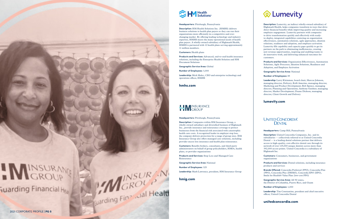

# I MINSURAN **Suarding Financial Hest**

**Description:** Lumevity, an indirect wholly-owned subsidiary of Highmark Health, helps companies transform in ways that drive direct financial benefits while improving quality and increasing employee engagement. Lumevity partners with companies to drive transformation quickly and effectively with readyto-deploy, integrated capabilities centering on organization effectiveness, automation solutions, agile approaches, ideation solutions, readiness and adoption, and employee activation. Lumevity fills capability and capacity gaps quickly to get its partners on the path to eliminating inefficiencies, creating new revenue opportunities, inspiring and enabling teams to do innovative work, and delivering enhanced outcomes for customers.

**Products and Services:** Organization Effectiveness, Automation Solutions, Agile Processes, Ideation Solutions, Readiness and Adoption, and Employee Activation

**Geographic Service Area:** National

#### **Number of Employees:** 85

**Leadership:** Larry Kleinman, board chair; Marcus Johnson, managing director, Delivery; Kelli Amerine, managing director, Marketing and Product Development; Rob Spence, managing director, Planning and Operations; Anthony Gardner, managing director, Market Development; Duane Dickson, managing director, Client Growth and Delivery

## lumevity.com

# **UNITED CONCORDIA® DENTAL**

#### **Headquarters:** Pittsburgh, Pennsylvania

**Description:** Companies within HM Insurance Group, a wholly-owned subsidiary and diversified business of Highmark Inc., provide insurance and reinsurance coverage to protect businesses from the financial risk associated with catastrophic health care costs. A recognized leader in employer stop loss, the company delivers protection for a range of group sizes. HM Insurance Group also offers managed care solutions, including provider excess loss insurance and health plan reinsurance.

**Customers:** Benefits brokers, consultants, and third-party administrators on behalf of group policyholders, HMOs, health plans, or provider organizations

**Products and Services:** Stop Loss and Managed Care Reinsurance

**Geographic Service Area:** National

**Number of Employees:** 325

**Leadership:** Mark Lawrence, president, HM Insurance Group

hmig.com



#### **Headquarters:** Pittsburgh, Pennsylvania

**Description:** HM Health Solutions Inc. (HMHS) delivers business solutions to health plan payers so they can run their organizations more efficiently in a competitive and everchanging market. By offering leading technology and industry expertise, HMHS meets the many operational needs of health plan payers. A wholly-owned subsidiary of Highmark Health, HMHS is partnered with 12 health plans serving approximately 11 million members.

#### **Customers:** Health plans

**Products and Services:** Advanced, end-to-end health insurance solutions, including the Enterprise Health Solution and HM Document Solutions

#### **Geographic Service Area:** Global

#### **Number of Employees:** 3,000

**Leadership:** Mick Malec, CEO and enterprise technology and operations officer, HMHS

hmhs.com

# HW INSURANCE

**Headquarters:** Camp Hill, Pennsylvania

**Description:** United Concordia Companies, Inc. and its subsidiaries — collectively referred to as United Concordia Dental — is a leading dental solutions partner that delivers access to high-quality, cost-effective dental care through its network of over 125,000 unique dentists across more than 392,000 access points. United Concordia is a subsidiary of Highmark Inc.

**Customers:** Consumers, businesses, and government organizations

**Products and Services:** Dental solutions, including insurance products and services

**Brands Offered:** Concordia Preferred (PPO), Concordia Flex (PPO), Concordia Plus (DHMO), Concordia EPO (EPO), Smile for Health® Value Plan (low-cost PPO)

**Geographic Service Area:** All 50 states, the District of Columbia, Puerto Rico, and Guam

**Number of Employees:** 1,000

**Leadership:** Tim Constantine, president and chief executive officer, United Concordia Dental

unitedconcordia.com

2021 CORPORATE PROFILE | PG 5

MEROUR .N